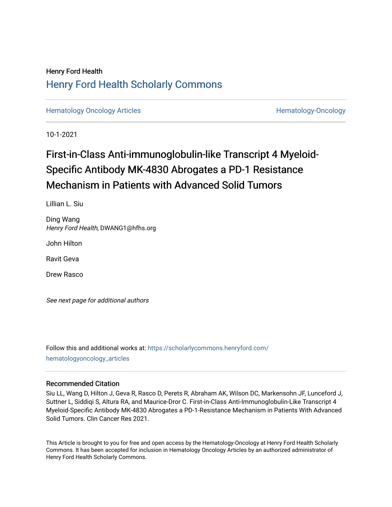## Henry Ford Health [Henry Ford Health Scholarly Commons](https://scholarlycommons.henryford.com/)

[Hematology Oncology Articles](https://scholarlycommons.henryford.com/hematologyoncology_articles) **Hematology-Oncology** 

10-1-2021

# First-in-Class Anti-immunoglobulin-like Transcript 4 Myeloid-Specific Antibody MK-4830 Abrogates a PD-1 Resistance Mechanism in Patients with Advanced Solid Tumors

Lillian L. Siu

Ding Wang Henry Ford Health, DWANG1@hfhs.org

John Hilton

Ravit Geva

Drew Rasco

See next page for additional authors

Follow this and additional works at: [https://scholarlycommons.henryford.com/](https://scholarlycommons.henryford.com/hematologyoncology_articles?utm_source=scholarlycommons.henryford.com%2Fhematologyoncology_articles%2F210&utm_medium=PDF&utm_campaign=PDFCoverPages) [hematologyoncology\\_articles](https://scholarlycommons.henryford.com/hematologyoncology_articles?utm_source=scholarlycommons.henryford.com%2Fhematologyoncology_articles%2F210&utm_medium=PDF&utm_campaign=PDFCoverPages)

#### Recommended Citation

Siu LL, Wang D, Hilton J, Geva R, Rasco D, Perets R, Abraham AK, Wilson DC, Markensohn JF, Lunceford J, Suttner L, Siddiqi S, Altura RA, and Maurice-Dror C. First-in-Class Anti-Immunoglobulin-Like Transcript 4 Myeloid-Specific Antibody MK-4830 Abrogates a PD-1-Resistance Mechanism in Patients With Advanced Solid Tumors. Clin Cancer Res 2021.

This Article is brought to you for free and open access by the Hematology-Oncology at Henry Ford Health Scholarly Commons. It has been accepted for inclusion in Hematology Oncology Articles by an authorized administrator of Henry Ford Health Scholarly Commons.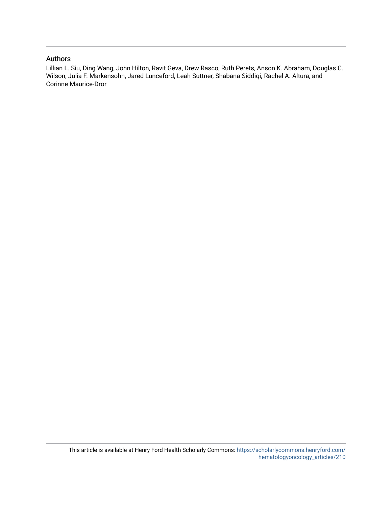### Authors

Lillian L. Siu, Ding Wang, John Hilton, Ravit Geva, Drew Rasco, Ruth Perets, Anson K. Abraham, Douglas C. Wilson, Julia F. Markensohn, Jared Lunceford, Leah Suttner, Shabana Siddiqi, Rachel A. Altura, and Corinne Maurice-Dror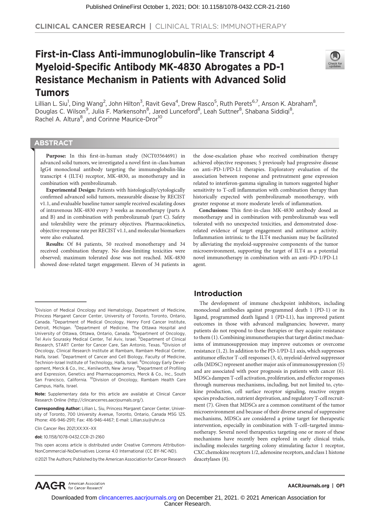# First-in-Class Anti-immunoglobulin–like Transcript 4 Myeloid-Specific Antibody MK-4830 Abrogates a PD-1 Resistance Mechanism in Patients with Advanced Solid Tumors



Lillian L. Siu<sup>1</sup>, Ding Wang<sup>2</sup>, John Hilton<sup>3</sup>, Ravit Geva<sup>4</sup>, Drew Rasco<sup>5</sup>, Ruth Perets<sup>6,7</sup>, Anson K. Abraham<sup>8</sup>, Douglas C. Wilson<sup>9</sup>, Julia F. Markensohn<sup>8</sup>, Jared Lunceford<sup>8</sup>, Leah Suttner<sup>8</sup>, Shabana Siddiqi<sup>8</sup>, Rachel A. Altura<sup>8</sup>, and Corinne Maurice-Dror<sup>10</sup>

#### **ABSTRACT**

◥

Purpose: In this first-in-human study (NCT03564691) in advanced solid tumors, we investigated a novel first-in-class human IgG4 monoclonal antibody targeting the immunoglobulin-like transcript 4 (ILT4) receptor, MK-4830, as monotherapy and in combination with pembrolizumab.

Experimental Design: Patients with histologically/cytologically confirmed advanced solid tumors, measurable disease by RECIST v1.1, and evaluable baseline tumor sample received escalating doses of intravenous MK-4830 every 3 weeks as monotherapy (parts A and B) and in combination with pembrolizumab (part C). Safety and tolerability were the primary objectives. Pharmacokinetics, objective response rate per RECIST v1.1, and molecular biomarkers were also evaluated.

Results: Of 84 patients, 50 received monotherapy and 34 received combination therapy. No dose-limiting toxicities were observed; maximum tolerated dose was not reached. MK-4830 showed dose-related target engagement. Eleven of 34 patients in

Corresponding Author: Lillian L. Siu, Princess Margaret Cancer Center, University of Toronto, 700 University Avenue, Toronto, Ontario, Canada M5G 1Z5. Phone: 416-946-2911; Fax: 416-946-4467; E-mail: Lillian.siu@uhn.ca

Clin Cancer Res 2021;XX:XX–XX

doi: 10.1158/1078-0432.CCR-21-2160

This open access article is distributed under Creative Commons Attribution-NonCommercial-NoDerivatives License 4.0 International (CC BY-NC-ND).

2021 The Authors; Published by the American Association for Cancer Research

the dose-escalation phase who received combination therapy achieved objective responses; 5 previously had progressive disease on anti–PD-1/PD-L1 therapies. Exploratory evaluation of the association between response and pretreatment gene expression related to interferon-gamma signaling in tumors suggested higher sensitivity to T-cell inflammation with combination therapy than historically expected with pembrolizumab monotherapy, with greater response at more moderate levels of inflammation.

Conclusions: This first-in-class MK-4830 antibody dosed as monotherapy and in combination with pembrolizumab was well tolerated with no unexpected toxicities, and demonstrated doserelated evidence of target engagement and antitumor activity. Inflammation intrinsic to the ILT4 mechanism may be facilitated by alleviating the myeloid-suppressive components of the tumor microenvironment, supporting the target of ILT4 as a potential novel immunotherapy in combination with an anti–PD-1/PD-L1 agent.

#### Introduction

The development of immune checkpoint inhibitors, including monoclonal antibodies against programmed death 1 (PD-1) or its ligand, programmed death ligand 1 (PD-L1), has improved patient outcomes in those with advanced malignancies; however, many patients do not respond to these therapies or they acquire resistance to them (1). Combining immunotherapies that target distinct mechanisms of immunosuppression may improve outcomes or overcome resistance (1, 2). In addition to the PD-1/PD-L1 axis, which suppresses antitumor effector T-cell responses (3, 4), myeloid-derived suppressor cells (MDSC) represent another major axis of immunosuppression (5) and are associated with poor prognosis in patients with cancer (6). MDSCs dampen T-cell activation, proliferation, and effector responses through numerous mechanisms, including, but not limited to, cytokine production, cell surface receptor signaling, reactive oxygen species production, nutrient deprivation, and regulatory T-cell recruitment (7). Given that MDSCs are a common constituent of the tumor microenvironment and because of their diverse arsenal of suppressive mechanisms, MDSCs are considered a prime target for therapeutic intervention, especially in combination with T-cell–targeted immunotherapy. Several novel therapeutics targeting one or more of these mechanisms have recently been explored in early clinical trials, including molecules targeting colony stimulating factor 1 receptor, CXC chemokine receptors 1/2, adenosine receptors, and class 1 histone deacetylases (8).



#### AACRJournals.org | OF1

Cancer Research. Downloaded from clincancerres.aacriournals.org on December 21, 2021. © 2021 American Association for

<sup>&</sup>lt;sup>1</sup>Division of Medical Oncology and Hematology, Department of Medicine, Princess Margaret Cancer Center, University of Toronto, Toronto, Ontario, Canada. <sup>2</sup>Department of Medical Oncology, Henry Ford Cancer Institute, Detroit, Michigan. <sup>3</sup>Department of Medicine, The Ottawa Hospital and University of Ottawa, Ottawa, Ontario, Canada. <sup>4</sup>Department of Oncology, Tel Aviv Sourasky Medical Center, Tel Aviv, Israel. <sup>5</sup>Department of Clinical Research, START Center for Cancer Care, San Antonio, Texas. <sup>6</sup>Division of Oncology, Clinical Research Institute at Rambam, Rambam Medical Center, Haifa, Israel. <sup>7</sup>Department of Cancer and Cell Biology, Faculty of Medicine, Technion-Israel Institute of Technology, Haifa, Israel. <sup>8</sup>Oncology Early Development, Merck & Co., Inc., Kenilworth, New Jersey. <sup>9</sup>Department of Profiling and Expression, Genetics and Pharmacogenomics, Merck & Co., Inc., South San Francisco, California. <sup>10</sup>Division of Oncology, Rambam Health Care Campus, Haifa, Israel.

Note: Supplementary data for this article are available at Clinical Cancer Research Online (http://clincancerres.aacrjournals.org/).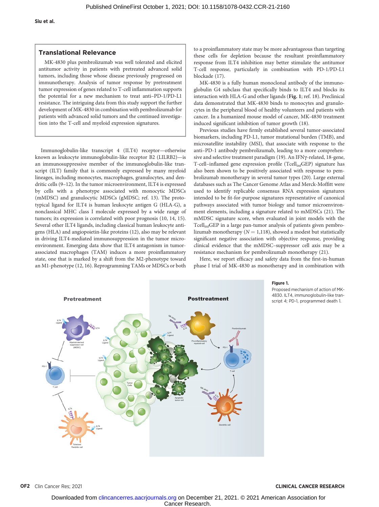#### Translational Relevance

MK-4830 plus pembrolizumab was well tolerated and elicited antitumor activity in patients with pretreated advanced solid tumors, including those whose disease previously progressed on immunotherapy. Analysis of tumor response by pretreatment tumor expression of genes related to T-cell inflammation supports the potential for a new mechanism to treat anti–PD-1/PD-L1 resistance. The intriguing data from this study support the further development of MK-4830 in combination with pembrolizumab for patients with advanced solid tumors and the continued investigation into the T-cell and myeloid expression signatures.

Immunoglobulin-like transcript 4 (ILT4) receptor—otherwise known as leukocyte immunoglobulin-like receptor B2 (LILRB2)—is an immunosuppressive member of the immunoglobulin-like transcript (ILT) family that is commonly expressed by many myeloid lineages, including monocytes, macrophages, granulocytes, and dendritic cells (9–12). In the tumor microenvironment, ILT4 is expressed by cells with a phenotype associated with monocytic MDSCs (mMDSC) and granulocytic MDSCs (gMDSC; ref. 13). The prototypical ligand for ILT4 is human leukocyte antigen G (HLA-G), a nonclassical MHC class I molecule expressed by a wide range of tumors; its expression is correlated with poor prognosis (10, 14, 15). Several other ILT4 ligands, including classical human leukocyte antigens (HLA) and angiopoietin-like proteins (12), also may be relevant in driving ILT4-mediated immunosuppression in the tumor microenvironment. Emerging data show that ILT4 antagonism in tumorassociated macrophages (TAM) induces a more proinflammatory state, one that is marked by a shift from the M2-phenotype toward an M1-phenotype (12, 16). Reprogramming TAMs or MDSCs or both to a proinflammatory state may be more advantageous than targeting these cells for depletion because the resultant proinflammatory response from ILT4 inhibition may better stimulate the antitumor T-cell response, particularly in combination with PD-1/PD-L1 blockade (17).

MK-4830 is a fully human monoclonal antibody of the immunoglobulin G4 subclass that specifically binds to ILT4 and blocks its interaction with HLA-G and other ligands (Fig. 1; ref. 18). Preclinical data demonstrated that MK-4830 binds to monocytes and granulocytes in the peripheral blood of healthy volunteers and patients with cancer. In a humanized mouse model of cancer, MK-4830 treatment induced significant inhibition of tumor growth (18).

Previous studies have firmly established several tumor-associated biomarkers, including PD-L1, tumor mutational burden (TMB), and microsatellite instability (MSI), that associate with response to the anti–PD-1 antibody pembrolizumab, leading to a more comprehensive and selective treatment paradigm (19). An IFN $\gamma$ -related, 18-gene, T-cell-inflamed gene expression profile (Tcell<sub>inf</sub>GEP) signature has also been shown to be positively associated with response to pembrolizumab monotherapy in several tumor types (20). Large external databases such as The Cancer Genome Atlas and Merck-Moffitt were used to identify replicable consensus RNA expression signatures intended to be fit-for-purpose signatures representative of canonical pathways associated with tumor biology and tumor microenvironment elements, including a signature related to mMDSCs (21). The mMDSC signature score, when evaluated in joint models with the TcellinfGEP in a large pan-tumor analysis of patients given pembrolizumab monotherapy ( $N = 1,118$ ), showed a modest but statistically significant negative association with objective response, providing clinical evidence that the mMDSC–suppressor cell axis may be a resistance mechanism for pembrolizumab monotherapy (21).

Here, we report efficacy and safety data from the first-in-human phase I trial of MK-4830 as monotherapy and in combination with

Pretreatment **Pretreatment** Apoptotic tumor cell Dendritic cell ILT4 **MK-4830** Myeloid-derived suppressor cell (MDSC) Pembrolizumab PD-1 Pro-inflammatory myeloid-cell T cell Tolerized dendritic cell Tumor Cells MK-4830 Ligand ILT4 ILT4  $\alpha_{\zeta}$ ILT4 Ligand PD-1 T cell ILT4 Ligand ILT4 Ligand ILT4 Ligand

Figure 1.

Proposed mechanism of action of MK-4830. ILT4, immunoglobulin-like transcript 4; PD-1, programmed death 1.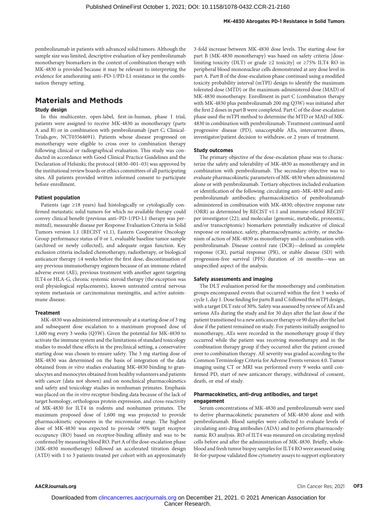pembrolizumab in patients with advanced solid tumors. Although the sample size was limited, descriptive evaluation of key pembrolizumab monotherapy biomarkers in the context of combination therapy with MK-4830 is provided because it may be relevant to interpreting the evidence for ameliorating anti–PD-1/PD-L1 resistance in the combination therapy setting.

## Materials and Methods

#### Study design

In this multicenter, open-label, first-in-human, phase I trial, patients were assigned to receive MK-4830 as monotherapy (parts A and B) or in combination with pembrolizumab (part C; Clinical-Trials.gov, NCT03564691). Patients whose disease progressed on monotherapy were eligible to cross over to combination therapy following clinical or radiographical evaluation. This study was conducted in accordance with Good Clinical Practice Guidelines and the Declaration of Helsinki; the protocol (4830–001–03) was approved by the institutional review boards or ethics committees of all participating sites. All patients provided written informed consent to participate before enrollment.

#### Patient population

Patients (age ≥18 years) had histologically or cytologically confirmed metastatic solid tumors for which no available therapy could convey clinical benefit (previous anti–PD-1/PD-L1 therapy was permitted), measurable disease per Response Evaluation Criteria in Solid Tumors version 1.1 (RECIST v1.1), Eastern Cooperative Oncology Group performance status of 0 or 1, evaluable baseline tumor sample (archived or newly collected), and adequate organ function. Key exclusion criteria included chemotherapy, radiotherapy, or biological anticancer therapy ≤4 weeks before the first dose, discontinuation of any previous immunotherapy regimen because of an immune-related adverse event (AE), previous treatment with another agent targeting ILT4 or HLA-G, chronic systemic steroid therapy (the exception was oral physiological replacements), known untreated central nervous system metastasis or carcinomatous meningitis, and active autoimmune disease.

#### **Treatment**

MK-4830 was administered intravenously at a starting dose of 3 mg and subsequent dose escalation to a maximum proposed dose of 1,600 mg every 3 weeks (Q3W). Given the potential for MK-4830 to activate the immune system and the limitations of standard toxicology studies to model these effects in the preclinical setting, a conservative starting dose was chosen to ensure safety. The 3 mg starting dose of MK-4830 was determined on the basis of integration of the data obtained from in vitro studies evaluating MK-4830 binding to granulocytes and monocytes obtained from healthy volunteers and patients with cancer (data not shown) and on nonclinical pharmacokinetics and safety and toxicology studies in nonhuman primates. Emphasis was placed on the in vitro receptor-binding data because of the lack of target homology, orthologous protein expression, and cross-reactivity of MK-4830 for ILT4 in rodents and nonhuman primates. The maximum proposed dose of 1,600 mg was projected to provide pharmacokinetic exposures in the micromolar range. The highest dose of MK-4830 was expected to provide >90% target receptor occupancy (RO) based on receptor-binding affinity and was to be confirmed by measuring blood RO. Part A of the dose-escalation phase (MK-4830 monotherapy) followed an accelerated titration design (ATD) with 1 to 3 patients treated per cohort with an approximately 3-fold increase between MK-4830 dose levels. The starting dose for part B (MK-4830 monotherapy) was based on safety criteria [doselimiting toxicity (DLT) or grade  $\geq 2$  toxicity] or  $\geq 75\%$  ILT4 RO in peripheral blood mononuclear cells demonstrated at any dose level in part A. Part B of the dose-escalation phase continued using a modified toxicity probability interval (mTPI) design to identify the maximum tolerated dose (MTD) or the maximum-administered dose (MAD) of MK-4830 monotherapy. Enrollment in part C (combination therapy with MK-4830 plus pembrolizumab 200 mg Q3W) was initiated after the first 2 doses in part B were completed. Part C of the dose-escalation phase used the mTPI method to determine the MTD or MAD of MK-4830 in combination with pembrolizumab. Treatment continued until progressive disease (PD), unacceptable AEs, intercurrent illness, investigator/patient decision to withdraw, or 2 years of treatment.

#### Study outcomes

The primary objective of the dose-escalation phase was to characterize the safety and tolerability of MK-4830 as monotherapy and in combination with pembrolizumab. The secondary objective was to evaluate pharmacokinetic parameters of MK-4830 when administered alone or with pembrolizumab. Tertiary objectives included evaluation or identification of the following: circulating anti–MK-4830 and antipembrolizumab antibodies; pharmacokinetics of pembrolizumab administered in combination with MK-4830; objective response rate (ORR) as determined by RECIST v1.1 and immune-related RECIST per investigator (22); and molecular (genomic, metabolic, proteomic, and/or transcriptomic) biomarkers potentially indicative of clinical response or resistance, safety, pharmacodynamic activity, or mechanism of action of MK-4830 as monotherapy and in combination with pembrolizumab. Disease control rate (DCR)—defined as complete response (CR), partial response (PR), or stable disease (SD) with progression-free survival (PFS) duration of ≥6 months—was an unspecified aspect of the analysis.

#### Safety assessments and imaging

The DLT evaluation period for the monotherapy and combination groups encompassed events that occurred within the first 3 weeks of cycle 1, day 1. Dose finding for parts B and C followed the mTPI design, with a target DLT rate of 30%. Safety was assessed by review of AEs and serious AEs during the study and for 30 days after the last dose if the patient transitioned to a new anticancer therapy or 90 days after the last dose if the patient remained on study. For patients initially assigned to monotherapy, AEs were recorded in the monotherapy group if they occurred while the patient was receiving monotherapy and in the combination therapy group if they occurred after the patient crossed over to combination therapy. AE severity was graded according to the Common Terminology Criteria for Adverse Events version 4.0. Tumor imaging using CT or MRI was performed every 9 weeks until confirmed PD, start of new anticancer therapy, withdrawal of consent, death, or end of study.

#### Pharmacokinetics, anti-drug antibodies, and target engagement

Serum concentrations of MK-4830 and pembrolizumab were used to derive pharmacokinetic parameters of MK-4830 alone and with pembrolizumab. Blood samples were collected to evaluate levels of circulating anti-drug antibodies (ADA) and to perform pharmacodynamic RO analysis. RO of ILT4 was measured on circulating myeloid cells before and after the administration of MK-4830. Briefly, wholeblood and fresh tumor biopsy samples for ILT4 RO were assessed using fit-for-purpose validated flow cytometry assays to support exploratory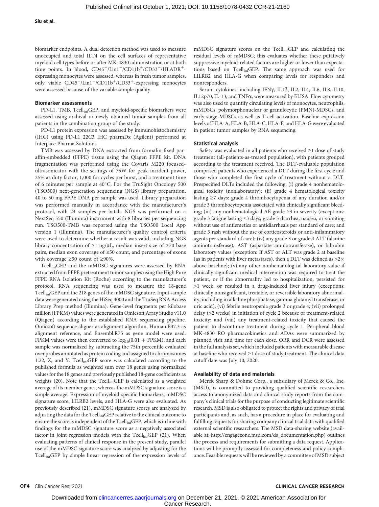biomarker endpoints. A dual detection method was used to measure unoccupied and total ILT4 on the cell surfaces of representative myeloid cell types before or after MK-4830 administration or at both time points. In blood,  $CD45^+/Lin1^-/CD11b^+/CD33^+/HLADR^+$ expressing monocytes were assessed, whereas in fresh tumor samples, only viable CD45<sup>+</sup>/Lin1<sup>-</sup>/CD11b<sup>+</sup>/CD33<sup>+</sup>-expressing monocytes were assessed because of the variable sample quality.

#### Biomarker assessments

PD-L1, TMB, Tcell<sub>inf</sub>GEP, and myeloid-specific biomarkers were assessed using archival or newly obtained tumor samples from all patients in the combination group of the study.

PD-L1 protein expression was assessed by immunohistochemistry (IHC) using PD-L1 22C3 IHC pharmDx (Agilent) performed at Interpace Pharma Solutions.

TMB was assessed by DNA extracted from formalin-fixed paraffin-embedded (FFPE) tissue using the Qiagen FFPE kit. DNA fragmentation was performed using the Covaris M220 focusedultrasonicator with the settings of 75W for peak incident power, 25% as duty factor, 1,000 for cycles per burst, and a treatment time of 6 minutes per sample at 40°C. For the TruSight Oncology 500 (TSO500) next-generation sequencing (NGS) library preparation, 40 to 50 mg FFPE DNA per sample was used. Library preparation was performed manually in accordance with the manufacturer's protocol, with 24 samples per batch. NGS was performed on a NextSeq 550 (Illumina) instrument with 8 libraries per sequencing run. TSO500-TMB was reported using the TSO500 Local App version 1 (Illumina). The manufacturer's quality control criteria were used to determine whether a result was valid, including NGS library concentration of  $\geq 1$  ng/µL, median insert size of  $\geq 70$  base pairs, median exon coverage of ≥50 count, and percentage of exons with coverage ≥50 count of ≥90%.

TcellinfGEP and the mMDSC signatures were assessed by RNA extracted from FFPE pretreatment tumor samples using the High Pure FFPE RNA Isolation Kit (Roche) according to the manufacturer's protocol. RNA sequencing was used to measure the 18-gene TcellinfGEP and the 218 genes of the mMDSC signature. Input sample data were generated using the HiSeq 4000 and the TruSeq RNA Access Library Prep method (Illumina). Gene-level fragments per kilobase million (FPKM) values were generated in Omicsoft Array Studio v11.0 (Qiagen) according to the established RNA sequencing pipeline. Omicsoft sequence aligner as alignment algorithm, Human.B37.3 as alignment reference, and Ensembl.R75 as gene model were used. FPKM values were then converted to  $\log_{10}(0.01$  + FPKM), and each sample was normalized by subtracting the 75th percentile evaluated over probes annotated as protein coding and assigned to chromosomes 1:22, X, and Y. Tcell<sub>inf</sub>GEP score was calculated according to the published formula as weighted sum over 18 genes using normalized values for the 18 genes and previously published 18-gene coefficients as weights (20). Note that the  $Tcell_{inf}GEP$  is calculated as a weighted average of its member genes, whereas the mMDSC signature score is a simple average. Expression of myeloid-specific biomarkers, mMDSC signature score, LILRB2 levels, and HLA-G were also evaluated. As previously described (21), mMDSC signature scores are analyzed by adjusting the data for the Tcell<sub>inf</sub>GEP relative to the clinical outcome to ensure the score is independent of the Tcell<sub>inf</sub>GEP, which is in line with findings for the mMDSC signature score as a negatively associated factor in joint regression models with the Tcell<sub>inf</sub>GEP (21). When evaluating patterns of clinical response in the present study, parallel use of the mMDSC signature score was analyzed by adjusting for the TcellinfGEP by simple linear regression of the expression levels of mMDSC signature scores on the Tcell<sub>inf</sub>GEP and calculating the residual levels of mMDSC; this evaluates whether these putatively suppressive myeloid-related factors are higher or lower than expectations based on TcellinfGEP. The same approach was used for LILRB2 and HLA-G when comparing levels for responders and nonresponders.

Serum cytokines, including IFNy, IL1 $\beta$ , IL2, IL4, IL6, IL8, IL10, IL12p70, IL-13, and TNF $\alpha$ , were measured by ELISA. Flow cytometry was also used to quantify circulating levels of monocytes, neutrophils, mMDSCs, polymorphonuclear or granulocytic (PMN)-MDSCs, and early-stage MDSCs as well as T-cell activation. Baseline expression levels of HLA-A, HLA-B, HLA-C, HLA-F, and HLA-G were evaluated in patient tumor samples by RNA sequencing.

#### Statistical analysis

Safety was evaluated in all patients who received ≥1 dose of study treatment (all-patients-as-treated population), with patients grouped according to the treatment received. The DLT-evaluable population comprised patients who experienced a DLT during the first cycle and those who completed the first cycle of treatment without a DLT. Prespecified DLTs included the following: (i) grade 4 nonhematological toxicity (nonlaboratory); (ii) grade 4 hematological toxicity lasting ≥7 days: grade 4 thrombocytopenia of any duration and/or grade 3 thrombocytopenia associated with clinically significant bleeding; (iii) any nonhematological AE grade ≥3 in severity (exceptions: grade 3 fatigue lasting ≤3 days; grade 3 diarrhea, nausea, or vomiting without use of antiemetics or antidiarrheals per standard of care; and grade 3 rash without the use of corticosteroids or anti-inflammatory agents per standard of care); (iv) any grade 3 or grade 4 ALT (alanine aminotransferase), AST (aspartate aminotransferase), or bilirubin laboratory values [exception: If AST or ALT was grade 2 at baseline (as in patients with liver metastases), then a DLT was defined as  $>\!\!2\times$ above baseline]; (v) any other nonhematological laboratory value if clinically significant medical intervention was required to treat the patient, or if the abnormality led to hospitalization, persisted for >1 week, or resulted in a drug-induced liver injury (exceptions: clinically nonsignificant, treatable, or reversible laboratory abnormality, including in alkaline phosphatase, gamma glutamyl transferase, or uric acid); (vi) febrile neutropenia grade 3 or grade 4; (vii) prolonged delay (>2 weeks) in initiation of cycle 2 because of treatment-related toxicity; and (viii) any treatment-related toxicity that caused the patient to discontinue treatment during cycle 1. Peripheral blood MK-4830 RO pharmacokinetics and ADAs were summarized by planned visit and time for each dose. ORR and DCR were assessed in the full analysis set, which included patients with measurable disease at baseline who received ≥1 dose of study treatment. The clinical data cutoff date was July 10, 2020.

#### Availability of data and materials

Merck Sharp & Dohme Corp., a subsidiary of Merck & Co., Inc. (MSD), is committed to providing qualified scientific researchers access to anonymized data and clinical study reports from the company's clinical trials for the purpose of conducting legitimate scientific research. MSD is also obligated to protect the rights and privacy of trial participants and, as such, has a procedure in place for evaluating and fulfilling requests for sharing company clinical trial data with qualified external scientific researchers. The MSD data-sharing website (available at: [http://engagezone.msd.com/ds\\_documentation.php\)](http://engagezone.msd.com/ds_documentation.php) outlines the process and requirements for submitting a data request. Applications will be promptly assessed for completeness and policy compliance. Feasible requests will be reviewed by a committee of MSD subject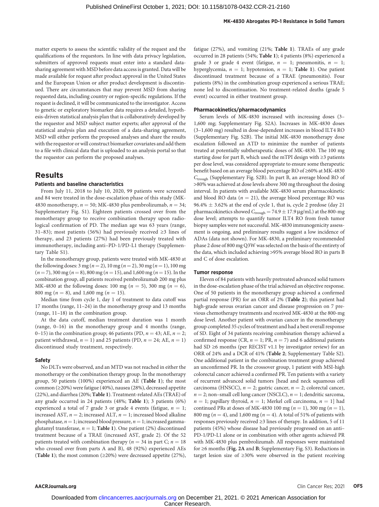matter experts to assess the scientific validity of the request and the qualifications of the requestors. In line with data privacy legislation, submitters of approved requests must enter into a standard datasharing agreement with MSD before data access is granted. Data will be made available for request after product approval in the United States and the European Union or after product development is discontinued. There are circumstances that may prevent MSD from sharing requested data, including country or region-specific regulations. If the request is declined, it will be communicated to the investigator. Access to genetic or exploratory biomarker data requires a detailed, hypothesis-driven statistical analysis plan that is collaboratively developed by the requestor and MSD subject matter experts; after approval of the statistical analysis plan and execution of a data-sharing agreement, MSD will either perform the proposed analyses and share the results with the requestor or will construct biomarker covariates and add them to a file with clinical data that is uploaded to an analysis portal so that the requestor can perform the proposed analyses.

#### Results

#### Patients and baseline characteristics

From July 11, 2018 to July 10, 2020, 99 patients were screened and 84 were treated in the dose-escalation phase of this study (MK-4830 monotherapy,  $n = 50$ ; MK-4830 plus pembrolizumab,  $n = 34$ ; Supplementary Fig. S1). Eighteen patients crossed over from the monotherapy group to receive combination therapy upon radiological confirmation of PD. The median age was 63 years (range, 31–83); most patients (56%) had previously received ≥3 lines of therapy, and 23 patients (27%) had been previously treated with immunotherapy, including anti–PD-1/PD-L1 therapy (Supplementary Table S1).

In the monotherapy group, patients were treated with MK-4830 at the following doses:  $3 \text{ mg} (n = 2)$ ,  $10 \text{ mg} (n = 2)$ ,  $30 \text{ mg} (n = 1)$ ,  $100 \text{ mg}$  $(n = 7)$ , 300 mg ( $n = 8$ ), 800 mg ( $n = 15$ ), and 1,600 mg ( $n = 15$ ). In the combination group, all patients received pembrolizumab 200 mg plus MK-4830 at the following doses: 100 mg ( $n = 5$ ), 300 mg ( $n = 6$ ), 800 mg ( $n = 8$ ), and 1,600 mg ( $n = 15$ ).

Median time from cycle 1, day 1 of treatment to data cutoff was 17 months (range, 11–24) in the monotherapy group and 13 months (range, 11–18) in the combination group.

At the data cutoff, median treatment duration was 1 month (range, 0–16) in the monotherapy group and 4 months (range, 0–15) in the combination group; 46 patients (PD,  $n = 43$ ; AE,  $n = 2$ ; patient withdrawal,  $n = 1$ ) and 25 patients (PD,  $n = 24$ ; AE,  $n = 1$ ) discontinued study treatment, respectively.

#### Safety

No DLTs were observed, and an MTD was not reached in either the monotherapy or the combination therapy group. In the monotherapy group, 50 patients (100%) experienced an AE (Table 1); the most common (≥20%) were fatigue (40%), nausea (28%), decreased appetite (22%), and diarrhea (20%; Table 1). Treatment-related AEs (TRAE) of any grade occurred in 24 patients (48%; Table 1); 3 patients (6%) experienced a total of 7 grade 3 or grade 4 events (fatigue,  $n = 1$ ; increased AST,  $n = 2$ ; increased ALT,  $n = 1$ ; increased blood alkaline phosphatase,  $n = 1$ ; increased blood pressure,  $n = 1$ ; increased gammaglutamyl transferase,  $n = 1$ ; Table 1). One patient (2%) discontinued treatment because of a TRAE (increased AST, grade 2). Of the 52 patients treated with combination therapy ( $n = 34$  in part C;  $n = 18$ who crossed over from parts A and B), 48 (92%) experienced AEs (Table 1); the most common ( $\geq$ 20%) were decreased appetite (27%), fatigue (27%), and vomiting (21%; Table 1). TRAEs of any grade occurred in 28 patients (54%; Table 1); 4 patients (8%) experienced a grade 3 or grade 4 event (fatigue,  $n = 1$ ; pneumonitis,  $n = 1$ ; hyperglycemia,  $n = 1$ ; hypotension,  $n = 1$ ; Table 1). One patient discontinued treatment because of a TRAE (pneumonitis). Four patients (8%) in the combination group experienced a serious TRAE; none led to discontinuation. No treatment-related deaths (grade 5 event) occurred in either treatment group.

#### Pharmacokinetics/pharmacodynamics

Serum levels of MK-4830 increased with increasing doses (3– 1,600 mg; Supplementary Fig. S2A). Increases in MK-4830 doses (3–1,600 mg) resulted in dose-dependent increases in blood ILT4 RO (Supplementary Fig. S2B). The initial MK-4830 monotherapy dose escalation followed an ATD to minimize the number of patients treated at potentially subtherapeutic doses of MK-4830. The 100 mg starting dose for part B, which used the mTPI design with  ${\geq}3$  patients per dose level, was considered appropriate to ensure some therapeutic benefit based on an average blood percentage RO of ≥60% at MK-4830  $C_{\text{trough}}$  (Supplementary Fig. S2B). In part B, an average blood RO of >80% was achieved at dose levels above 300 mg throughout the dosing interval. In patients with available MK-4830 serum pharmacokinetic and blood RO data ( $n = 21$ ), the average blood percentage RO was  $96.4\% \pm 3.62\%$  at the end of cycle 1, that is, cycle 2 predose (day 21 pharmacokinetics showed  $C_{\text{trough}} = 74.9 \pm 17.9 \,\mu\text{g/mL}$ ) at the 800-mg dose level; attempts to quantify tumor ILT4 RO from fresh tumor biopsy samples were not successful. MK-4830 immunogenicity assessment is ongoing, and preliminary results suggest a low incidence of ADAs (data not shown). For MK-4830, a preliminary recommended phase 2 dose of 800 mg Q3W was selected on the basis of the entirety of the data, which included achieving >95% average blood RO in parts B and C of dose escalation.

#### Tumor response

Eleven of 84 patients with heavily pretreated advanced solid tumors in the dose-escalation phase of the trial achieved an objective response. One of 50 patients in the monotherapy group achieved a confirmed partial response (PR) for an ORR of 2% (Table 2); this patient had high-grade serous ovarian cancer and disease progression on 7 previous chemotherapy treatments and received MK-4830 at the 800-mg dose level. Another patient with ovarian cancer in the monotherapy group completed 35 cycles of treatment and had a best overall response of SD. Eight of 34 patients receiving combination therapy achieved a confirmed response (CR,  $n = 1$ ; PR,  $n = 7$ ) and 6 additional patients had SD ≥6 months (per RECIST v1.1 by investigator review) for an ORR of 24% and a DCR of 41% (Table 2; Supplementary Table S2). One additional patient in the combination treatment group achieved an unconfirmed PR. In the crossover group, 1 patient with MSI-high colorectal cancer achieved a confirmed PR. Ten patients with a variety of recurrent advanced solid tumors [head and neck squamous cell carcinoma (HNSCC),  $n = 2$ ; gastric cancer,  $n = 2$ ; colorectal cancer,  $n = 2$ ; non–small cell lung cancer (NSCLC),  $n = 1$ ; dendritic sarcoma,  $n = 1$ ; papillary thyroid,  $n = 1$ ; Merkel cell carcinoma,  $n = 1$ ] had continued PRs at doses of MK-4830 100 mg ( $n = 1$ ), 300 mg ( $n = 1$ ), 800 mg ( $n = 4$ ), and 1,600 mg ( $n = 4$ ). A total of 51% of patients with responses previously received ≥3 lines of therapy. In addition, 5 of 11 patients (45%) whose disease had previously progressed on an anti– PD-1/PD-L1 alone or in combination with other agents achieved PR with MK-4830 plus pembrolizumab. All responses were maintained for ≥6 months (Fig. 2A and B; Supplementary Fig. S3). Reductions in target lesion size of ≥30% were observed in the patient receiving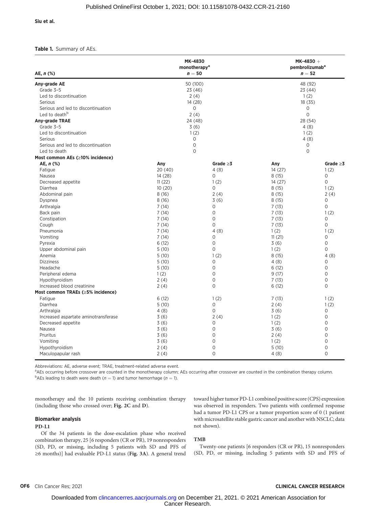Siu et al.

#### Table 1. Summary of AEs.

| AE, $n$ (%)                          | <b>MK-4830</b><br>monotherapy <sup>a</sup><br>$n=50$ |                | $MK-4830 +$<br>pembrolizumab <sup>a</sup><br>$n=52$ |                |  |
|--------------------------------------|------------------------------------------------------|----------------|-----------------------------------------------------|----------------|--|
| Any-grade AE                         | 50 (100)                                             |                | 48 (92)                                             |                |  |
| Grade 3-5                            | 23 (46)                                              |                | 23 (44)                                             |                |  |
| Led to discontinuation               | 2(4)                                                 |                | 1(2)                                                |                |  |
| Serious                              | 14 (28)                                              |                | 18 (35)                                             |                |  |
| Serious and led to discontinuation   | 0                                                    |                | 0                                                   |                |  |
| Led to death <sup>b</sup>            | 2(4)                                                 |                | $\overline{O}$                                      |                |  |
| Any-grade TRAE                       | 24 (48)                                              |                | 28 (54)                                             |                |  |
| Grade 3-5                            | 3(6)                                                 |                | 4(8)                                                |                |  |
| Led to discontinuation               | 1(2)                                                 |                | 1(2)                                                |                |  |
| Serious                              | 0                                                    |                | 4(8)                                                |                |  |
| Serious and led to discontinuation   | $\mathbf 0$                                          |                | 0                                                   |                |  |
| Led to death                         |                                                      | $\Omega$       |                                                     | $\Omega$       |  |
| Most common AEs (≥10% incidence)     |                                                      |                |                                                     |                |  |
| AE, $n$ (%)                          | Any                                                  | Grade $\geq 3$ | Any                                                 | Grade $\geq 3$ |  |
| Fatigue                              | 20(40)                                               | 4(8)           | 14 (27)                                             | 1(2)           |  |
| Nausea                               | 14 (28)                                              | 0              | 8(15)                                               | $\circ$        |  |
| Decreased appetite                   | 11(22)                                               | 1(2)           | 14(27)                                              | 0              |  |
| Diarrhea                             | 10(20)                                               | 0              | 8(15)                                               | 1(2)           |  |
| Abdominal pain                       | 8(16)                                                | 2(4)           | 8(15)                                               | 2(4)           |  |
| Dyspnea                              | 8(16)                                                | 3(6)           | 8(15)                                               | 0              |  |
| Arthralgia                           | 7(14)                                                | 0              | 7(13)                                               | $\circ$        |  |
| Back pain                            | 7(14)                                                | 0              | 7(13)                                               | 1(2)           |  |
| Constipation                         | 7(14)                                                | 0              | 7(13)                                               | $\circ$        |  |
| Cough                                | 7(14)                                                | 0              | 7(13)                                               | $\Omega$       |  |
| Pneumonia                            | 7(14)                                                | 4(8)           | 1(2)                                                | 1(2)           |  |
| Vomiting                             | 7(14)                                                | 0              | 11(21)                                              | $\circ$        |  |
| Pyrexia                              | 6(12)                                                | 0              | 3(6)                                                | $\circ$        |  |
| Upper abdominal pain                 | 5(10)                                                | $\overline{O}$ | 1(2)                                                | $\Omega$       |  |
| Anemia                               | 5(10)                                                | 1(2)           | 8(15)                                               | 4(8)           |  |
| <b>Dizziness</b>                     | 5(10)                                                | 0              | 4(8)                                                | $\circ$        |  |
| Headache                             | 5(10)                                                | 0              | 6(12)                                               | $\circ$        |  |
| Peripheral edema                     | 1(2)                                                 | 0              | 9(17)                                               | $\Omega$       |  |
| Hypothyroidism                       | 2(4)                                                 | 0              | 7(13)                                               | $\circ$        |  |
| Increased blood creatinine           | 2(4)                                                 | 0              | 6(12)                                               | $\Omega$       |  |
| Most common TRAEs (≥5% incidence)    |                                                      |                |                                                     |                |  |
| Fatigue                              | 6(12)                                                | 1(2)           | 7(13)                                               | 1(2)           |  |
| Diarrhea                             | 5(10)                                                | 0              | 2(4)                                                | 1(2)           |  |
| Arthralgia                           | 4(8)                                                 | 0              | 3(6)                                                | 0              |  |
| Increased aspartate aminotransferase | 3(6)                                                 | 2(4)           | 1(2)                                                | $\circ$        |  |
| Decreased appetite                   | 3(6)                                                 | 0              | 1(2)                                                | $\overline{O}$ |  |
| Nausea                               | 3(6)                                                 | 0              | 3(6)                                                | $\Omega$       |  |
| Pruritus                             | 3(6)                                                 | 0              | 2(4)                                                | 0              |  |
| Vomiting                             | 3(6)                                                 | 0              | 1(2)                                                | $\mathbf 0$    |  |
| Hypothyroidism                       | 2(4)                                                 | 0              | 5(10)                                               | $\overline{O}$ |  |
| Maculopapular rash                   | 2(4)                                                 | 0              | 4(8)                                                | $\Omega$       |  |

Abbreviations: AE, adverse event; TRAE, treatment-related adverse event.

<sup>a</sup>AEs occurring before crossover are counted in the monotherapy column; AEs occurring after crossover are counted in the combination therapy column. <sup>b</sup>AEs leading to death were death ( $n = 1$ ) and tumor hemorrhage ( $n = 1$ ).

monotherapy and the 10 patients receiving combination therapy (including those who crossed over; Fig. 2C and D).

#### Biomarker analysis

#### PD-L1

Of the 34 patients in the dose-escalation phase who received combination therapy, 25 [6 responders (CR or PR), 19 nonresponders (SD, PD, or missing, including 5 patients with SD and PFS of ≥6 months)] had evaluable PD-L1 status (Fig. 3A). A general trend toward higher tumor PD-L1 combined positive score (CPS) expression was observed in responders. Two patients with confirmed response had a tumor PD-L1 CPS or a tumor proportion score of 0 (1 patient with microsatellite stable gastric cancer and another with NSCLC; data not shown).

#### TMB

Twenty-one patients [6 responders (CR or PR), 15 nonresponders (SD, PD, or missing, including 5 patients with SD and PFS of

#### OF6 Clin Cancer Res; 2021 CLINICAL CANCER RESEARCH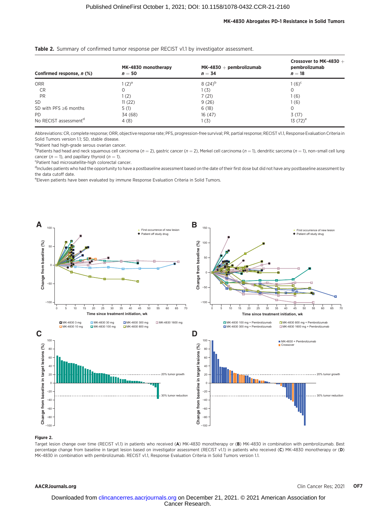#### MK-4830 Abrogates PD-1 Resistance in Solid Tumors

| Confirmed response, n (%)         | MK-4830 monotherapy<br>$n=50$ | $MK-4830 + pembrolizumab$<br>$n = 34$ | Crossover to MK-4830 $+$<br>pembrolizumab<br>$n=18$ |
|-----------------------------------|-------------------------------|---------------------------------------|-----------------------------------------------------|
| <b>ORR</b>                        | $1(2)^{a}$                    | $8(24)^{b}$                           | $1(6)^{c}$                                          |
| CR                                |                               | 1(3)                                  | 0                                                   |
| <b>PR</b>                         | 1(2)                          | 7(21)                                 | 1 (6)                                               |
| <b>SD</b>                         | 11(22)                        | 9(26)                                 | 1 (6)                                               |
| SD with PFS $\geq 6$ months       | 5(1)                          | 6(18)                                 | 0                                                   |
| <b>PD</b>                         | 34 (68)                       | 16(47)                                | 3(17)                                               |
| No RECIST assessment <sup>d</sup> | 4(8)                          | 1(3)                                  | 13 $(72)^e$                                         |

#### Table 2. Summary of confirmed tumor response per RECIST v1.1 by investigator assessment.

Abbreviations: CR, complete response; ORR, objective response rate; PFS, progression-free survival; PR, partial response; RECIST v1.1, Response Evaluation Criteria in Solid Tumors version 1.1; SD, stable disease.

<sup>a</sup>Patient had high-grade serous ovarian cancer.

 $^{\text{b}}$ Patients had head and neck squamous cell carcinoma ( $n=2$ ), gastric cancer ( $n=2$ ), Merkel cell carcinoma ( $n=1$ ), dendritic sarcoma ( $n=1$ ), non–small cell lung cancer ( $n = 1$ ), and papillary thyroid ( $n = 1$ ).

Patient had microsatellite-high colorectal cancer.

<sup>d</sup>includes patients who had the opportunity to have a postbaseline assessment based on the date of their first dose but did not have any postbaseline assessment by the data cutoff date.

e Eleven patients have been evaluated by immune Response Evaluation Criteria in Solid Tumors.



#### Figure 2.

Target lesion change over time (RECIST v1.1) in patients who received (A) MK-4830 monotherapy or (B) MK-4830 in combination with pembrolizumab. Best percentage change from baseline in target lesion based on investigator assessment (RECIST v1.1) in patients who received (C) MK-4830 monotherapy or (D) MK-4830 in combination with pembrolizumab. RECIST v1.1, Response Evaluation Criteria in Solid Tumors version 1.1.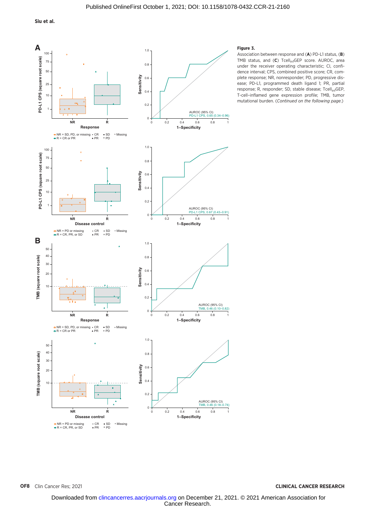Siu et al.



#### Figure 3.

Association between response and (A) PD-L1 status, (B) TMB status, and  $(C)$  Tcell<sub>inf</sub>GEP score. AUROC, area under the receiver operating characteristic; CI, confidence interval; CPS, combined positive score; CR, complete response; NR, nonresponder; PD, progressive disease; PD-L1, programmed death ligand 1; PR, partial response; R, responder; SD, stable disease; Tcell<sub>inf</sub>GEP, T-cell–inflamed gene expression profile; TMB, tumor mutational burden. (Continued on the following page.)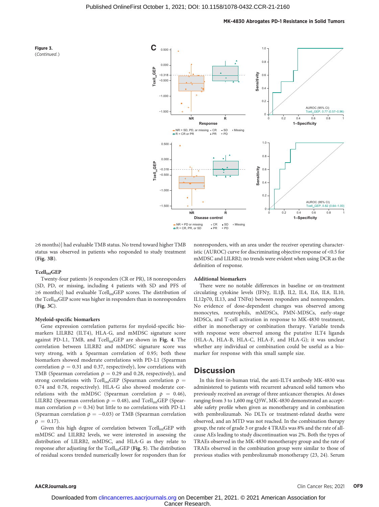



≥6 months)] had evaluable TMB status. No trend toward higher TMB status was observed in patients who responded to study treatment (Fig. 3B).

#### TcellinfGEP

Twenty-four patients [6 responders (CR or PR), 18 nonresponders (SD, PD, or missing, including 4 patients with SD and PFS of ≥6 months)] had evaluable Tcell<sub>inf</sub>GEP scores. The distribution of the Tcell<sub>inf</sub>GEP score was higher in responders than in nonresponders (Fig. 3C).

#### Myeloid-specific biomarkers

Gene expression correlation patterns for myeloid-specific biomarkers LILRB2 (ILT4), HLA-G, and mMDSC signature score against PD-L1, TMB, and Tcell<sub>inf</sub>GEP are shown in Fig. 4. The correlation between LILRB2 and mMDSC signature score was very strong, with a Spearman correlation of 0.95; both these biomarkers showed moderate correlations with PD-L1 (Spearman correlation  $\rho = 0.31$  and 0.37, respectively), low correlations with TMB (Spearman correlation  $\rho = 0.29$  and 0.28, respectively), and strong correlations with Tcell<sub>inf</sub>GEP (Spearman correlation  $\rho =$ 0.74 and 0.78, respectively). HLA-G also showed moderate correlations with the mMDSC (Spearman correlation  $\rho = 0.46$ ), LILRB2 (Spearman correlation  $\rho = 0.48$ ), and Tcell<sub>inf</sub>GEP (Spearman correlation  $\rho = 0.34$ ) but little to no correlations with PD-L1 (Spearman correlation  $\rho = -0.03$ ) or TMB (Spearman correlation  $\rho = 0.17$ )  $\rho = 0.17$ .

Given this high degree of correlation between Tcell<sub>inf</sub>GEP with mMDSC and LILRB2 levels, we were interested in assessing the distribution of LILRB2, mMDSC, and HLA-G as they relate to response after adjusting for the Tcell<sub>inf</sub>GEP (Fig. 5). The distribution of residual scores trended numerically lower for responders than for nonresponders, with an area under the receiver operating characteristic (AUROC) curve for discriminating objective response of <0.5 for mMDSC and LILRB2; no trends were evident when using DCR as the definition of response.

#### Additional biomarkers

There were no notable differences in baseline or on-treatment circulating cytokine levels (IFN $\gamma$ , IL1 $\beta$ , IL2, IL4, IL6, IL8, IL10, IL12p70, IL13, and TNFa) between responders and nonresponders. No evidence of dose-dependent changes was observed among monocytes, neutrophils, mMDSCs, PMN-MDSCs, early-stage MDSCs, and T-cell activation in response to MK-4830 treatment, either in monotherapy or combination therapy. Variable trends with response were observed among the putative ILT4 ligands (HLA-A, HLA-B, HLA-C, HLA-F, and HLA-G); it was unclear whether any individual or combination could be useful as a biomarker for response with this small sample size.

#### **Discussion**

In this first-in-human trial, the anti-ILT4 antibody MK-4830 was administered to patients with recurrent advanced solid tumors who previously received an average of three anticancer therapies. At doses ranging from 3 to 1,600 mg Q3W, MK-4830 demonstrated an acceptable safety profile when given as monotherapy and in combination with pembrolizumab. No DLTs or treatment-related deaths were observed, and an MTD was not reached. In the combination therapy group, the rate of grade 3 or grade 4 TRAEs was 8% and the rate of allcause AEs leading to study discontinuation was 2%. Both the types of TRAEs observed in the MK-4830 monotherapy group and the rate of TRAEs observed in the combination group were similar to those of previous studies with pembrolizumab monotherapy (23, 24). Serum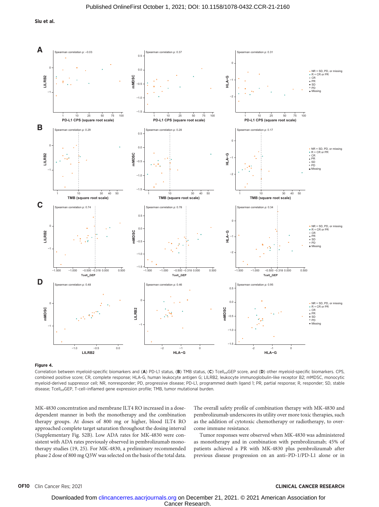

#### Figure 4.

Correlation between myeloid-specific biomarkers and (A) PD-L1 status, (B) TMB status, (C) Tcell<sub>inf</sub>GEP score, and (D) other myeloid-specific biomarkers. CPS, combined positive score; CR, complete response; HLA-G, human leukocyte antigen G; LILRB2, leukocyte immunoglobulin-like receptor B2; mMDSC, monocytic myeloid-derived suppressor cell; NR, nonresponder; PD, progressive disease; PD-L1, programmed death ligand 1; PR, partial response; R, responder; SD, stable disease; TcellinfGEP, T-cell–inflamed gene expression profile; TMB, tumor mutational burden.

MK-4830 concentration and membrane ILT4 RO increased in a dosedependent manner in both the monotherapy and the combination therapy groups. At doses of 800 mg or higher, blood ILT4 RO approached complete target saturation throughout the dosing interval (Supplementary Fig. S2B). Low ADA rates for MK-4830 were consistent with ADA rates previously observed in pembrolizumab monotherapy studies (19, 25). For MK-4830, a preliminary recommended phase 2 dose of 800 mg Q3W was selected on the basis of the total data. The overall safety profile of combination therapy with MK-4830 and pembrolizumab underscores its utility over more toxic therapies, such as the addition of cytotoxic chemotherapy or radiotherapy, to overcome immune resistance.

Tumor responses were observed when MK-4830 was administered as monotherapy and in combination with pembrolizumab; 45% of patients achieved a PR with MK-4830 plus pembrolizumab after previous disease progression on an anti–PD-1/PD-L1 alone or in

#### OF10 Clin Cancer Res; 2021 CLINICAL CANCER RESEARCH

Cancer Research. Downloaded from [clincancerres.aacrjournals.org o](http://clincancerres.aacrjournals.org/)n December 21, 2021. © 2021 American Association for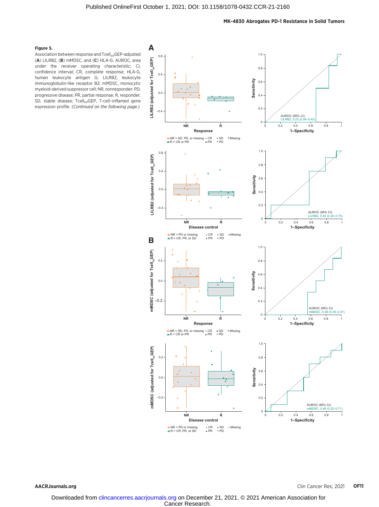#### MK-4830 Abrogates PD-1 Resistance in Solid Tumors

#### Figure 5.

Association between response and Tcell<sub>inf</sub>GEP-adjusted (A) LILRB2, (B) mMDSC, and (C) HLA-G. AUROC, area under the receiver operating characteristic; CI, confidence interval; CR, complete response; HLA-G, human leukocyte antigen G; LILRB2, leukocyte immunoglobulin-like receptor B2; mMDSC, monocytic myeloid-derived suppressor cell; NR, nonresponder; PD, progressive disease; PR, partial response; R, responder; SD, stable disease; Tcell<sub>inf</sub>GEP, T-cell-inflamed gene expression profile. (Continued on the following page.)

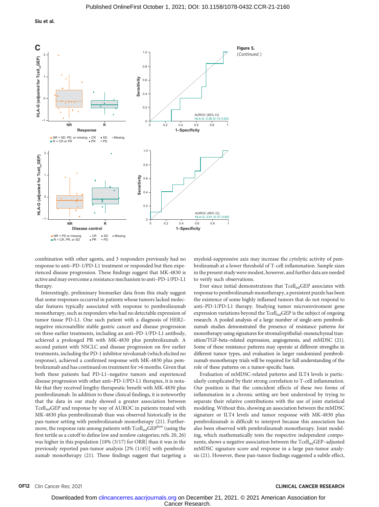Siu et al.



combination with other agents, and 3 responders previously had no response to anti–PD-1/PD-L1 treatment or responded but then experienced disease progression. These findings suggest that MK-4830 is active and may overcome a resistance mechanism to anti–PD-1/PD-L1 therapy.

Interestingly, preliminary biomarker data from this study suggest that some responses occurred in patients whose tumors lacked molecular features typically associated with response to pembrolizumab monotherapy, such as responders who had no detectable expression of tumor tissue PD-L1. One such patient with a diagnosis of HER2– negative microsatellite stable gastric cancer and disease progression on three earlier treatments, including an anti–PD-1/PD-L1 antibody, achieved a prolonged PR with MK-4830 plus pembrolizumab. A second patient with NSCLC and disease progression on five earlier treatments, including the PD-1 inhibitor nivolumab (which elicited no response), achieved a confirmed response with MK-4830 plus pembrolizumab and has continued on treatment for >6 months. Given that both these patients had PD-L1–negative tumors and experienced disease progression with other anti–PD-1/PD-L1 therapies, it is notable that they received lengthy therapeutic benefit with MK-4830 plus pembrolizumab. In addition to these clinical findings, it is noteworthy that the data in our study showed a greater association between Tcell<sub>inf</sub>GEP and response by way of AUROC in patients treated with MK-4830 plus pembrolizumab than was observed historically in the pan-tumor setting with pembrolizumab monotherapy (21). Furthermore, the response rate among patients with  $\mathrm{Tcell_{inf}GEP}^{\mathrm{low}}$  (using the first tertile as a cutoff to define low and nonlow categories; refs. 20, 26) was higher in this population [18% (3/17) for ORR] than it was in the previously reported pan-tumor analysis [2% (1/45)] with pembrolizumab monotherapy (21). These findings suggest that targeting a myeloid-suppressive axis may increase the cytolytic activity of pembrolizumab at a lower threshold of T-cell inflammation. Sample sizes in the present study were modest, however, and further data are needed to verify such observations.

Ever since initial demonstrations that Tcell<sub>inf</sub>GEP associates with response to pembrolizumab monotherapy, a persistent puzzle has been the existence of some highly inflamed tumors that do not respond to anti–PD-1/PD-L1 therapy. Studying tumor microenviroment gene expression variations beyond the  $Tcell_{\text{inf}}GEP$  is the subject of ongoing research. A pooled analysis of a large number of single-arm pembrolizumab studies demonstrated the presence of resistance patterns for monotherapy using signatures for stromal/epithelial–mesenchymal transition/TGF-beta–related expression, angiogenesis, and mMDSC (21). Some of these resistance patterns may operate at different strengths in different tumor types, and evaluation in larger randomized pembrolizumab monotherapy trials will be required for full understanding of the role of these patterns on a tumor-specific basis.

Evaluation of mMDSC-related patterns and ILT4 levels is particularly complicated by their strong correlation to T-cell inflammation. Our position is that the coincident effects of these two forms of inflammation in a chronic setting are best understood by trying to separate their relative contributions with the use of joint statistical modeling. Without this, showing an association between the mMDSC signature or ILT4 levels and tumor response with MK-4830 plus pembrolizumab is difficult to interpret because this association has also been observed with pembrolizumab monotherapy. Joint modeling, which mathematically tests the respective independent components, shows a negative association between the Tcell<sub>inf</sub>GEP-adjusted mMDSC signature score and response in a large pan-tumor analysis (21). However, these pan-tumor findings suggested a subtle effect,

#### OF12 Clin Cancer Res; 2021 CLINICAL CANCER RESEARCH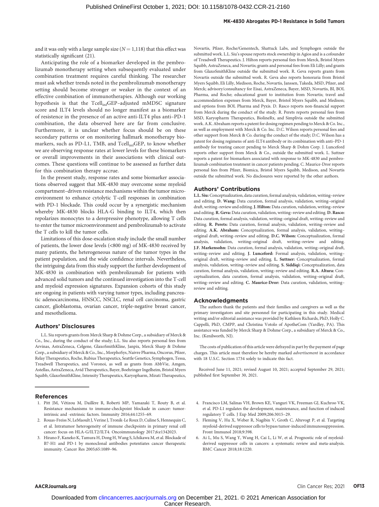#### MK-4830 Abrogates PD-1 Resistance in Solid Tumors

and it was only with a large sample size  $(N = 1,118)$  that this effect was statistically significant (21).

Anticipating the role of a biomarker developed in the pembrolizumab monotherapy setting when subsequently evaluated under combination treatment requires careful thinking. The researcher must ask whether trends noted in the pembrolizumab monotherapy setting should become stronger or weaker in the context of an effective combination of immunotherapies. Although our working hypothesis is that the Tcell<sub>inf</sub>GEP-adjusted mMDSC signature score and ILT4 levels should no longer manifest as a biomarker of resistence in the presence of an active anti-ILT4 plus anti–PD-1 combination, the data observed here are far from conclusive. Furthermore, it is unclear whether focus should be on these secondary patterns or on monitoring hallmark monotherapy biomarkers, such as PD-L1, TMB, and Tcell<sub>inf</sub>GEP, to know whether we are observing response rates at lower levels for these biomarkers or overall improvements in their associations with clinical outcomes. These questions will continue to be assessed as further data for this combination therapy accrue.

In the present study, response rates and some biomarker associations observed suggest that MK-4830 may overcome some myeloid compartment–driven resistance mechanisms within the tumor microenvironment to enhance cytolytic T-cell responses in combination with PD-1 blockade. This could occur by a synergistic mechanism whereby MK-4830 blocks HLA-G binding to ILT4, which then repolarizes monocytes to a derepressive phenotype, allowing T cells to enter the tumor microenvironment and pembrolizumab to activate the T cells to kill the tumor cells.

Limitations of this dose-escalation study include the small number of patients, the lower dose levels (<800 mg) of MK-4830 received by many patients, the heterogeneous nature of the tumor types in the patient population, and the wide confidence intervals. Nevertheless, the intriguing data from this study support the further development of MK-4830 in combination with pembrolizumab for patients with advanced solid tumors and the continued investigation into the T-cell and myeloid expression signatures. Expansion cohorts of this study are ongoing in patients with varying tumor types, including pancreatic adenocarcinoma, HNSCC, NSCLC, renal cell carcinoma, gastric cancer, glioblastoma, ovarian cancer, triple-negative breast cancer, and mesothelioma.

#### Authors' Disclosures

L.L. Siu reports grants from Merck Sharp & Dohme Corp., a subsidiary of Merck & Co., Inc., during the conduct of the study; L.L. Siu also reports personal fees from Arvinas, AstraZeneca, Celgene, GlaxoSmithKline, Janpix, Merck Sharp & Dohme Corp., a subsidiary of Merck & Co., Inc., MorphoSys, Naivre Pharma, Oncorus, Pfizer, Relay Therapeutics, Roche, Rubius Therapeutics, Seattle Genetics, Symphogen, Tessa, Treadwell Therapeutics, and Voronoi, as well as grants from AbbVie, Amgen, Astellas, AstraZeneca, Avid Therapeutics, Bayer, Boehringer Ingelheim, Bristol Myers Squibb, GlaxoSmithKline, Intensity Therapeutics, Karyopharm, Mirati Therapeutics,

#### References

- 1. Pitt JM, Vetizou M, Daillere R, Roberti MP, Yamazaki T, Routy B, et al. Resistance mechanisms to immune-checkpoint blockade in cancer: tumorintrinsic and -extrinsic factors. Immunity 2016;44:1255–69.
- 2. Rouas-Freiss N, LeMaoult J, Verine J, Tronik-Le Roux D, Culine S, Hennequin C, et al. Intratumor heterogeneity of immune checkpoints in primary renal cell cancer: focus on HLA-G/ILT2/ILT4. Oncoimmunology 2017;6:e1342023.
- 3. Hirano F, Kaneko K, Tamura H, Dong H, Wang S, Ichikawa M, et al. Blockade of B7-H1 and PD-1 by monoclonal antibodies potentiates cancer therapeutic immunity. Cancer Res 2005;65:1089–96.

Novartis, Pfizer, Roche/Genentech, Shattuck Labs, and Symphogen outside the submitted work. L.L. Siu's spouse reports stock ownership in Agios and is a cofounder of Treadwell Therapeutics. J. Hilton reports personal fees from Merck, Bristol Myers Squibb, AstraZeneca, and Novartis; grants and personal fees from Eli Lilly; and grants from GlaxoSmithKline outside the submitted work. R. Geva reports grants from Novartis outside the submitted work. R. Geva also reports honoraria from Bristol Myers Squibb, Eli Lilly, Medison, Roche, Novartis, Janssen, Takeda, MSD, Pfizer, and Merck; advisory/consultancy for Eisai, AstraZeneca, Bayer, MSD, Novartis, BI, BOL Pharma, and Roche; educational grant to institution from Novartis; travel and accommodation expenses from Merck, Bayer, Bristol Myers Squibb, and Medison; and options from BOL Pharma and Pyxis. D. Rasco reports non-financial support from Merck during the conduct of the study. R. Perets reports personal fees from MSD, Karyopharm Therapeutics, BiolineRx, and Simplivia outside the submitted work. A.K. Abraham reports a patent for dosing regimen pending to Merck & Co. Inc., as well as employment with Merck & Co. Inc. D.C. Wilson reports personal fees and other support from Merck & Co. during the conduct of the study; D.C. Wilson has a patent for dosing regimens of anti-ILT4 antibody or its combination with anti–PD-1 antibody for treating cancer pending to Merck Sharp & Dohm Corp. J. Lunceford reports other support from Merck & Co., outside the submitted work. L. Suttner reports a patent for biomarkers associated with response to MK-4830 and pembrolizumab combination treatment in cancer patients pending. C. Maurice-Dror reports personal fees from Pfizer, Biomica, Bristol Myers Squibb, Medison, and Novartis outside the submitted work. No disclosures were reported by the other authors.

#### Authors' Contributions

L.L. Siu:Conceptualization, data curation, formal analysis, validation, writing–review and editing. D. Wang: Data curation, formal analysis, validation, writing–original draft, writing-review and editing. J. Hilton: Data curation, validation, writing-review and editing. R. Geva: Data curation, validation, writing–review and editing. D. Rasco: Data curation, formal analysis, validation, writing–original draft, writing–review and editing. R. Perets: Data curation, formal analysis, validation, writing–review and editing. A.K. Abraham: Conceptualization, formal analysis, validation, writing– original draft, writing–review and editing. D.C. Wilson: Conceptualization, formal analysis, validation, writing–original draft, writing–review and editing. J.F. Markensohn: Data curation, formal analysis, validation, writing–original draft, writing–review and editing. J. Lunceford: Formal analysis, validation, writing– original draft, writing–review and editing. L. Suttner: Conceptualization, formal analysis, validation, writing–review and editing. S. Siddiqi: Conceptualization, data curation, formal analysis, validation, writing–review and editing. R.A. Altura: Conceptualization, data curation, formal analysis, validation, writing–original draft, writing–review and editing. C. Maurice-Dror: Data curation, validation, writing– review and editing.

#### Acknowledgments

The authors thank the patients and their families and caregivers as well as the primary investigators and site personnel for participating in this study. Medical writing and/or editorial assistance was provided by Kathleen Richards, PhD, Holly C. Cappelli, PhD, CMPP, and Christina Votolo of ApotheCom (Yardley, PA). This assistance was funded by Merck Sharp & Dohme Corp., a subsidiary of Merck & Co., Inc. (Kenilworth, NJ).

The costs of publication of this article were defrayed in part by the payment of page charges. This article must therefore be hereby marked advertisement in accordance with 18 U.S.C. Section 1734 solely to indicate this fact.

Received June 11, 2021; revised August 10, 2021; accepted September 29, 2021; published first September 30, 2021.

- 4. Francisco LM, Salinas VH, Brown KE, Vanguri VK, Freeman GJ, Kuchroo VK, et al. PD-L1 regulates the development, maintenance, and function of induced regulatory T cells. J Exp Med 2009;206:3015–29.
- 5. Fleming V, Hu X, Weber R, Nagibin V, Groth C, Altevogt P, et al. Targeting myeloid-derived suppressor cells to bypass tumor-induced immunosuppression. Front Immunol 2018;9:398.
- 6. Ai L, Mu S, Wang Y, Wang H, Cai L, Li W, et al. Prognostic role of myeloidderived suppressor cells in cancers: a systematic review and meta-analysis. BMC Cancer 2018;18:1220.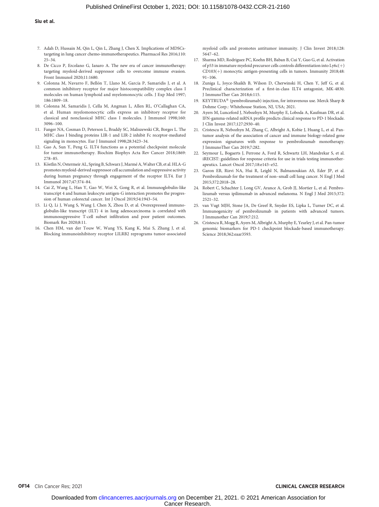- 7. Adah D, Hussain M, Qin L, Qin L, Zhang J, Chen X. Implications of MDSCstargeting in lung cancer chemo-immunotherapeutics. Pharmacol Res 2016;110: 25–34.
- 8. De Cicco P, Ercolano G, Ianaro A. The new era of cancer immunotherapy: targeting myeloid-derived suppressor cells to overcome immune evasion. Front Immunol 2020;11:1680.
- 9. Colonna M, Navarro F, Bellon T, Llano M, García P, Samaridis J, et al. A common inhibitory receptor for major histocompatibility complex class I molecules on human lymphoid and myelomonocytic cells. J Exp Med 1997; 186:1809–18.
- 10. Colonna M, Samaridis J, Cella M, Angman L, Allen RL, O'Callaghan CA, et al. Human myelomonocytic cells express an inhibitory receptor for classical and nonclassical MHC class I molecules. J Immunol 1998;160: 3096–100.
- 11. Fanger NA, Cosman D, Peterson L, Braddy SC, Maliszewski CR, Borges L. The MHC class I binding proteins LIR-1 and LIR-2 inhibit Fc receptor-mediated signaling in monocytes. Eur J Immunol 1998;28:3423–34.
- 12. Gao A, Sun Y, Peng G. ILT4 functions as a potential checkpoint molecule for tumor immunotherapy. Biochim Biophys Acta Rev Cancer 2018;1869: 278–85.
- 13. Köstlin N, Ostermeir AL, Spring B, Schwarz J, Marmé A, Walter CB, et al. HLA-G promotes myeloid-derived suppressor cell accumulation and suppressive activity during human pregnancy through engagement of the receptor ILT4. Eur J Immunol 2017;47:374–84.
- 14. Cai Z, Wang L, Han Y, Gao W, Wei X, Gong R, et al. Immunoglobulin-like transcript 4 and human leukocyte antigen-G interaction promotes the progression of human colorectal cancer. Int J Oncol 2019;54:1943–54.
- 15. Li Q, Li J, Wang S, Wang J, Chen X, Zhou D, et al. Overexpressed immunoglobulin-like transcript (ILT) 4 in lung adenocarcinoma is correlated with immunosuppressive T-cell subset infiltration and poor patient outcomes. Biomark Res 2020;8:11.
- 16. Chen HM, van der Touw W, Wang YS, Kang K, Mai S, Zhang J, et al. Blocking immunoinhibitory receptor LILRB2 reprograms tumor-associated

myeloid cells and promotes antitumor immunity. J Clin Invest 2018;128: 5647–62.

- 17. Sharma MD, Rodriguez PC, Koehn BH, Baban B, Cui Y, Guo G, et al. Activation of p53 in immature myeloid precursor cells controls differentiation into  $Ly6c(+)$  $CD103(+)$  monocytic antigen-presenting cells in tumors. Immunity 2018;48: 91–106.
- 18. Zuniga L, Joyce-Shaikh B, Wilson D, Cherwinski H, Chen Y, Jeff G, et al. Preclinical characterization of a first-in-class ILT4 antagonist, MK-4830. J ImmunoTher Can 2018;6:115.
- 19. KEYTRUDA® (pembrolizumab) injection, for intravenous use. Merck Sharp & Dohme Corp.: Whitehouse Station, NJ, USA; 2021.
- 20. Ayers M, Lunceford J, Nebozhyn M, Murphy E, Loboda A, Kaufman DR, et al. IFN-gamma-related mRNA profile predicts clinical response to PD-1 blockade. J Clin Invest 2017;127:2930–40.
- 21. Cristescu R, Nebozhyn M, Zhang C, Albright A, Kobie J, Huang L, et al. Pantumor analysis of the association of cancer and immune biology-related gene expression signatures with response to pembrolizumab monotherapy. J ImmunoTher Can 2019;7:282.
- 22. Seymour L, Bogaerts J, Perrone A, Ford R, Schwartz LH, Mandrekar S, et al. iRECIST: guidelines for response criteria for use in trials testing immunotherapeutics. Lancet Oncol 2017;18:e143–e52.
- 23. Garon EB, Rizvi NA, Hui R, Leighl N, Balmanoukian AS, Eder JP, et al. Pembrolizumab for the treatment of non–small cell lung cancer. N Engl J Med 2015;372:2018–28.
- 24. Robert C, Schachter J, Long GV, Arance A, Grob JJ, Mortier L, et al. Pembrolizumab versus ipilimumab in advanced melanoma. N Engl J Med 2015;372: 2521–32.
- 25. van Vugt MJH, Stone JA, De Greef R, Snyder ES, Lipka L, Turner DC, et al. Immunogenicity of pembrolizumab in patients with advanced tumors. J Immunother Can 2019;7:212.
- 26. Cristescu R, Mogg R, Ayers M, Albright A, Murphy E, Yearley J, et al. Pan-tumor genomic biomarkers for PD-1 checkpoint blockade-based immunotherapy. Science 2018;362:eaar3593.